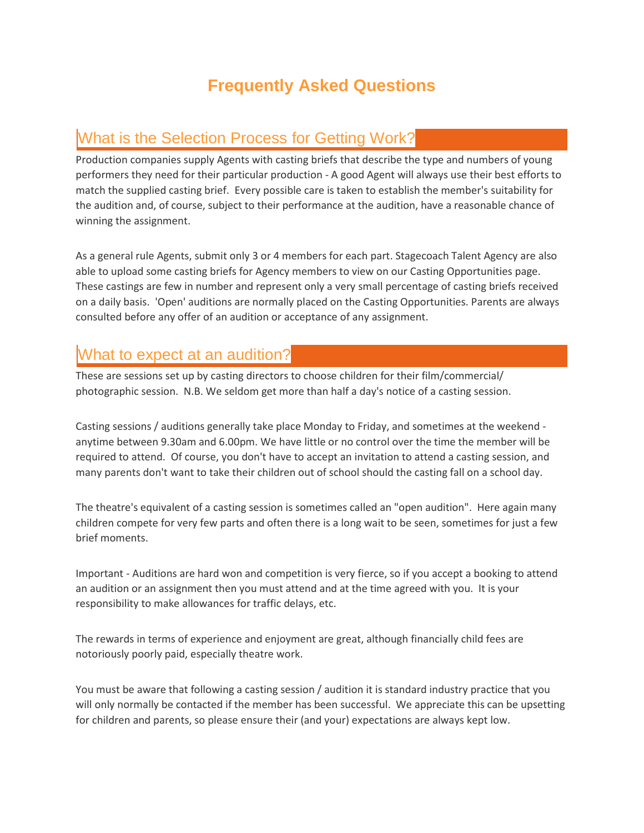# **Frequently Asked Questions**

## What is the Selection Process for Getting Work?

Production companies supply Agents with casting briefs that describe the type and numbers of young performers they need for their particular production - A good Agent will always use their best efforts to match the supplied casting brief. Every possible care is taken to establish the member's suitability for the audition and, of course, subject to their performance at the audition, have a reasonable chance of winning the assignment.

As a general rule Agents, submit only 3 or 4 members for each part. Stagecoach Talent Agency are also able to upload some casting briefs for Agency members to view on our Casting Opportunities page. These castings are few in number and represent only a very small percentage of casting briefs received on a daily basis. 'Open' auditions are normally placed on the Casting Opportunities. Parents are always consulted before any offer of an audition or acceptance of any assignment.

## What to expect at an audition?

These are sessions set up by casting directors to choose children for their film/commercial/ photographic session. N.B. We seldom get more than half a day's notice of a casting session.

Casting sessions / auditions generally take place Monday to Friday, and sometimes at the weekend anytime between 9.30am and 6.00pm. We have little or no control over the time the member will be required to attend. Of course, you don't have to accept an invitation to attend a casting session, and many parents don't want to take their children out of school should the casting fall on a school day.

The theatre's equivalent of a casting session is sometimes called an "open audition". Here again many children compete for very few parts and often there is a long wait to be seen, sometimes for just a few brief moments.

Important - Auditions are hard won and competition is very fierce, so if you accept a booking to attend an audition or an assignment then you must attend and at the time agreed with you. It is your responsibility to make allowances for traffic delays, etc.

The rewards in terms of experience and enjoyment are great, although financially child fees are notoriously poorly paid, especially theatre work.

You must be aware that following a casting session / audition it is standard industry practice that you will only normally be contacted if the member has been successful. We appreciate this can be upsetting for children and parents, so please ensure their (and your) expectations are always kept low.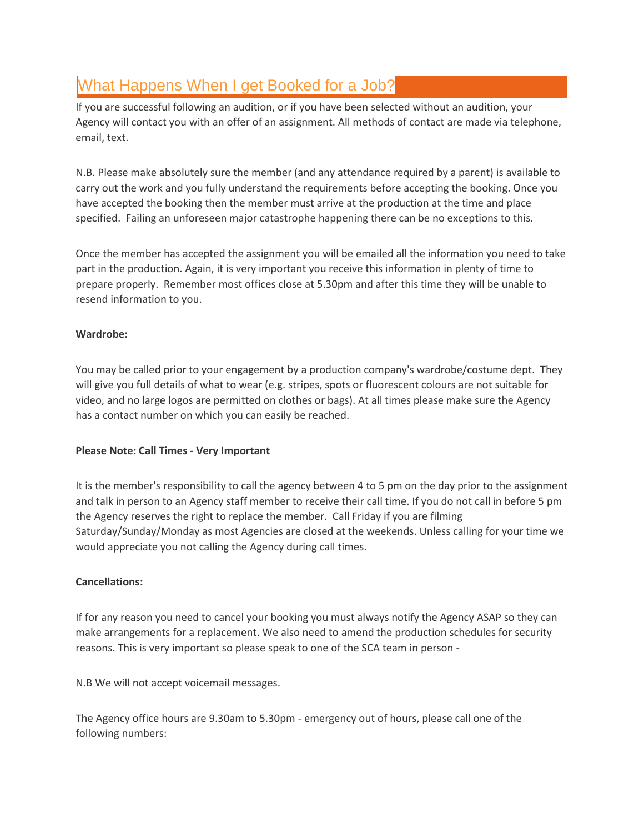# What Happens When I get Booked for a Job?

If you are successful following an audition, or if you have been selected without an audition, your Agency will contact you with an offer of an assignment. All methods of contact are made via telephone, email, text.

N.B. Please make absolutely sure the member (and any attendance required by a parent) is available to carry out the work and you fully understand the requirements before accepting the booking. Once you have accepted the booking then the member must arrive at the production at the time and place specified. Failing an unforeseen major catastrophe happening there can be no exceptions to this.

Once the member has accepted the assignment you will be emailed all the information you need to take part in the production. Again, it is very important you receive this information in plenty of time to prepare properly. Remember most offices close at 5.30pm and after this time they will be unable to resend information to you.

### **Wardrobe:**

You may be called prior to your engagement by a production company's wardrobe/costume dept. They will give you full details of what to wear (e.g. stripes, spots or fluorescent colours are not suitable for video, and no large logos are permitted on clothes or bags). At all times please make sure the Agency has a contact number on which you can easily be reached.

### **Please Note: Call Times - Very Important**

It is the member's responsibility to call the agency between 4 to 5 pm on the day prior to the assignment and talk in person to an Agency staff member to receive their call time. If you do not call in before 5 pm the Agency reserves the right to replace the member. Call Friday if you are filming Saturday/Sunday/Monday as most Agencies are closed at the weekends. Unless calling for your time we would appreciate you not calling the Agency during call times.

### **Cancellations:**

If for any reason you need to cancel your booking you must always notify the Agency ASAP so they can make arrangements for a replacement. We also need to amend the production schedules for security reasons. This is very important so please speak to one of the SCA team in person -

N.B We will not accept voicemail messages.

The Agency office hours are 9.30am to 5.30pm - emergency out of hours, please call one of the following numbers: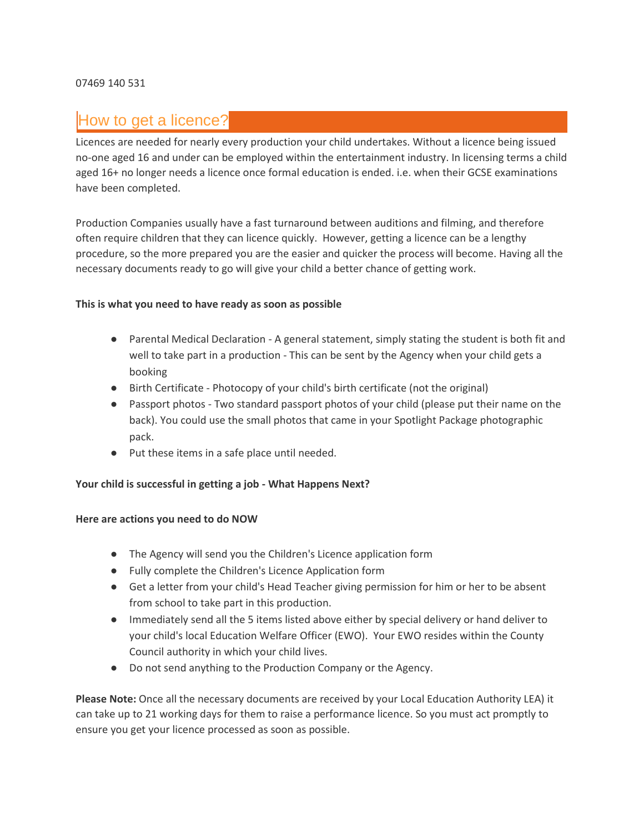### How to get a licence?

Licences are needed for nearly every production your child undertakes. Without a licence being issued no-one aged 16 and under can be employed within the entertainment industry. In licensing terms a child aged 16+ no longer needs a licence once formal education is ended. i.e. when their GCSE examinations have been completed.

Production Companies usually have a fast turnaround between auditions and filming, and therefore often require children that they can licence quickly. However, getting a licence can be a lengthy procedure, so the more prepared you are the easier and quicker the process will become. Having all the necessary documents ready to go will give your child a better chance of getting work.

#### **This is what you need to have ready as soon as possible**

- Parental Medical Declaration A general statement, simply stating the student is both fit and well to take part in a production - This can be sent by the Agency when your child gets a booking
- Birth Certificate Photocopy of your child's birth certificate (not the original)
- Passport photos Two standard passport photos of your child (please put their name on the back). You could use the small photos that came in your Spotlight Package photographic pack.
- Put these items in a safe place until needed.

#### **Your child is successful in getting a job - What Happens Next?**

#### **Here are actions you need to do NOW**

- The Agency will send you the Children's Licence application form
- Fully complete the Children's Licence Application form
- Get a letter from your child's Head Teacher giving permission for him or her to be absent from school to take part in this production.
- Immediately send all the 5 items listed above either by special delivery or hand deliver to your child's local Education Welfare Officer (EWO). Your EWO resides within the County Council authority in which your child lives.
- Do not send anything to the Production Company or the Agency.

**Please Note:** Once all the necessary documents are received by your Local Education Authority LEA) it can take up to 21 working days for them to raise a performance licence. So you must act promptly to ensure you get your licence processed as soon as possible.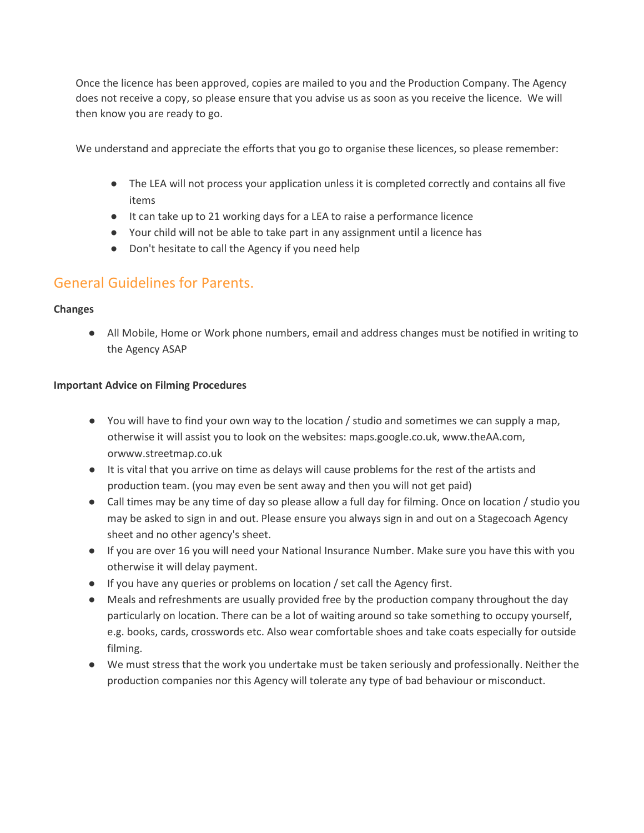Once the licence has been approved, copies are mailed to you and the Production Company. The Agency does not receive a copy, so please ensure that you advise us as soon as you receive the licence. We will then know you are ready to go.

We understand and appreciate the efforts that you go to organise these licences, so please remember:

- The LEA will not process your application unless it is completed correctly and contains all five items
- It can take up to 21 working days for a LEA to raise a performance licence
- Your child will not be able to take part in any assignment until a licence has
- Don't hesitate to call the Agency if you need help

### General Guidelines for Parents.

### **Changes**

● All Mobile, Home or Work phone numbers, email and address changes must be notified in writing to the Agency ASAP

#### **Important Advice on Filming Procedures**

- You will have to find your own way to the location / studio and sometimes we can supply a map, otherwise it will assist you to look on the websites: maps.google.co.uk, www.theAA.com, orwww.streetmap.co.uk
- It is vital that you arrive on time as delays will cause problems for the rest of the artists and production team. (you may even be sent away and then you will not get paid)
- Call times may be any time of day so please allow a full day for filming. Once on location / studio you may be asked to sign in and out. Please ensure you always sign in and out on a Stagecoach Agency sheet and no other agency's sheet.
- If you are over 16 you will need your National Insurance Number. Make sure you have this with you otherwise it will delay payment.
- If you have any queries or problems on location / set call the Agency first.
- Meals and refreshments are usually provided free by the production company throughout the day particularly on location. There can be a lot of waiting around so take something to occupy yourself, e.g. books, cards, crosswords etc. Also wear comfortable shoes and take coats especially for outside filming.
- We must stress that the work you undertake must be taken seriously and professionally. Neither the production companies nor this Agency will tolerate any type of bad behaviour or misconduct.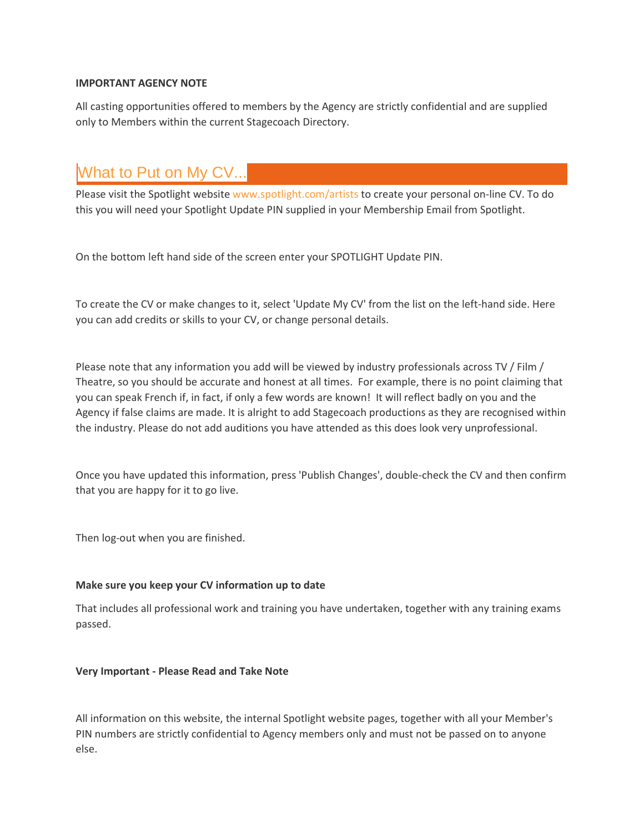#### **IMPORTANT AGENCY NOTE**

All casting opportunities offered to members by the Agency are strictly confidential and are supplied only to Members within the current Stagecoach Directory.

# What to Put on My CV...

Please visit the Spotlight website [www.spotlight.com/artists](https://www.spotlight.com/artists) to create your personal on-line CV. To do this you will need your Spotlight Update PIN supplied in your Membership Email from Spotlight.

On the bottom left hand side of the screen enter your SPOTLIGHT Update PIN.

To create the CV or make changes to it, select 'Update My CV' from the list on the left-hand side. Here you can add credits or skills to your CV, or change personal details.

Please note that any information you add will be viewed by industry professionals across TV / Film / Theatre, so you should be accurate and honest at all times. For example, there is no point claiming that you can speak French if, in fact, if only a few words are known! It will reflect badly on you and the Agency if false claims are made. It is alright to add Stagecoach productions as they are recognised within the industry. Please do not add auditions you have attended as this does look very unprofessional.

Once you have updated this information, press 'Publish Changes', double-check the CV and then confirm that you are happy for it to go live.

Then log-out when you are finished.

#### **Make sure you keep your CV information up to date**

That includes all professional work and training you have undertaken, together with any training exams passed.

#### **Very Important - Please Read and Take Note**

All information on this website, the internal Spotlight website pages, together with all your Member's PIN numbers are strictly confidential to Agency members only and must not be passed on to anyone else.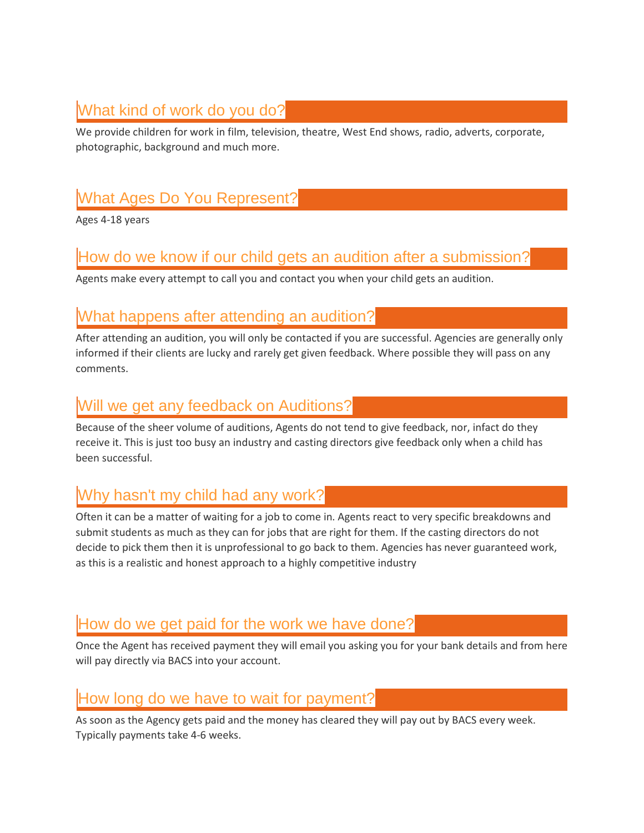# What kind of work do you do?

We provide children for work in film, television, theatre, West End shows, radio, adverts, corporate, photographic, background and much more.

# What Ages Do You Represent?

Ages 4-18 years

## How do we know if our child gets an audition after a submission?

Agents make every attempt to call you and contact you when your child gets an audition.

### What happens after attending an audition?

After attending an audition, you will only be contacted if you are successful. Agencies are generally only informed if their clients are lucky and rarely get given feedback. Where possible they will pass on any comments.

### Will we get any feedback on Auditions?

Because of the sheer volume of auditions, Agents do not tend to give feedback, nor, infact do they receive it. This is just too busy an industry and casting directors give feedback only when a child has been successful.

## Why hasn't my child had any work?

Often it can be a matter of waiting for a job to come in. Agents react to very specific breakdowns and submit students as much as they can for jobs that are right for them. If the casting directors do not decide to pick them then it is unprofessional to go back to them. Agencies has never guaranteed work, as this is a realistic and honest approach to a highly competitive industry

### How do we get paid for the work we have done?

Once the Agent has received payment they will email you asking you for your bank details and from here will pay directly via BACS into your account.

### How long do we have to wait for payment?

As soon as the Agency gets paid and the money has cleared they will pay out by BACS every week. Typically payments take 4-6 weeks.